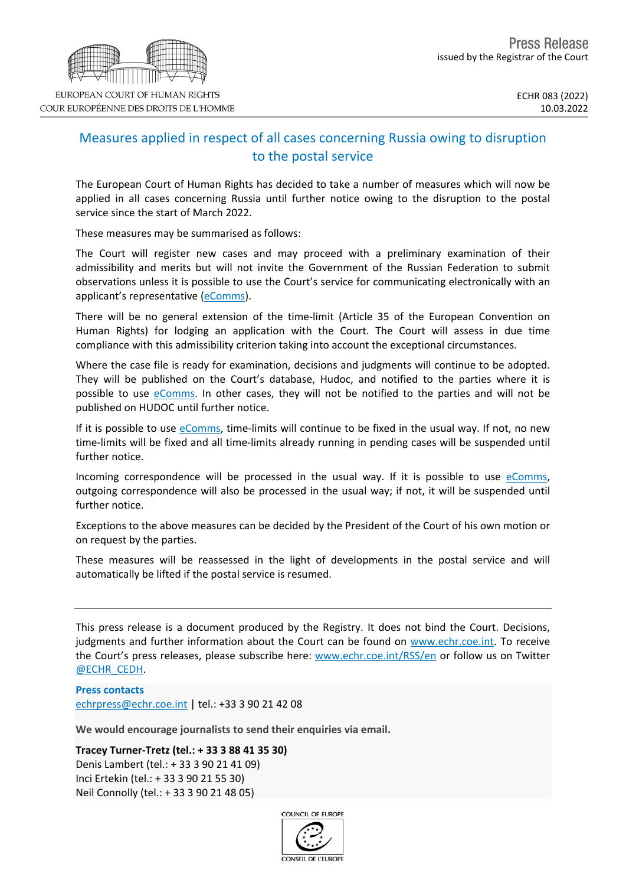

## Measures applied in respect of all cases concerning Russia owing to disruption to the postal service

The European Court of Human Rights has decided to take a number of measures which will now be applied in all cases concerning Russia until further notice owing to the disruption to the postal service since the start of March 2022.

These measures may be summarised as follows:

The Court will register new cases and may proceed with a preliminary examination of their admissibility and merits but will not invite the Government of the Russian Federation to submit observations unless it is possible to use the Court's service for communicating electronically with an applicant's representative [\(eComms](https://www.echr.coe.int/Pages/home.aspx?p=ecomms)).

There will be no general extension of the time-limit (Article 35 of the European Convention on Human Rights) for lodging an application with the Court. The Court will assess in due time compliance with this admissibility criterion taking into account the exceptional circumstances.

Where the case file is ready for examination, decisions and judgments will continue to be adopted. They will be published on the Court's database, Hudoc, and notified to the parties where it is possible to use  $e_{\text{Comms}}$ . In other cases, they will not be notified to the parties and will not be published on HUDOC until further notice.

If it is possible to use [eComms,](https://www.echr.coe.int/Pages/home.aspx?p=ecomms) time-limits will continue to be fixed in the usual way. If not, no new time-limits will be fixed and all time-limits already running in pending cases will be suspended until further notice.

Incoming correspondence will be processed in the usual way. If it is possible to use [eComms,](https://www.echr.coe.int/Pages/home.aspx?p=ecomms) outgoing correspondence will also be processed in the usual way; if not, it will be suspended until further notice.

Exceptions to the above measures can be decided by the President of the Court of his own motion or on request by the parties.

These measures will be reassessed in the light of developments in the postal service and will automatically be lifted if the postal service is resumed.

This press release is a document produced by the Registry. It does not bind the Court. Decisions, judgments and further information about the Court can be found on [www.echr.coe.int](http://www.echr.coe.int/). To receive the Court's press releases, please subscribe here: [www.echr.coe.int/RSS/en](http://www.echr.coe.int/RSS/en) or follow us on Twitter [@ECHR\\_CEDH](https://twitter.com/ECHR_CEDH).

**Press contacts** [echrpress@echr.coe.int](mailto:Echrpress@echr.coe.int) | tel.: +33 3 90 21 42 08

**We would encourage journalists to send their enquiries via email.**

**Tracey Turner-Tretz (tel.: + 33 3 88 41 35 30)**

Denis Lambert (tel.: + 33 3 90 21 41 09) Inci Ertekin (tel.: + 33 3 90 21 55 30) Neil Connolly (tel.: + 33 3 90 21 48 05)